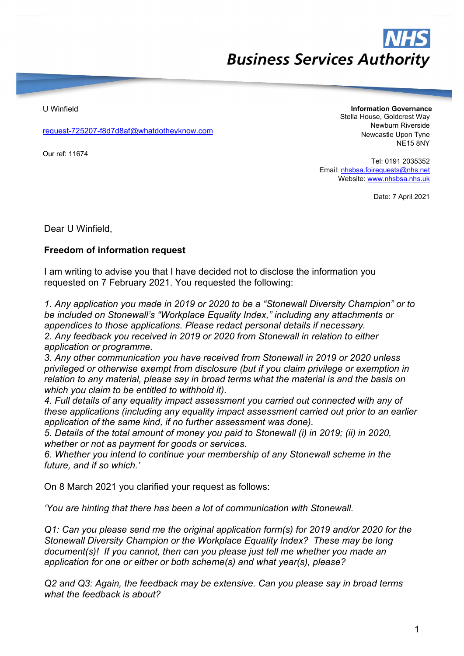## **Business Services Authority**

U Winfield

request-725207-f8d7d8af@whatdotheyknow.com

Our ref: 11674

Information Governance Stella House, Goldcrest Way Newburn Riverside Newcastle Upon Tyne NE15 8NY

Tel: 0191 2035352 Email: nhsbsa.foirequests@nhs.net Website: www.nhsbsa.nhs.uk

Date: 7 April 2021

Dear U Winfield,

## Freedom of information request

I am writing to advise you that I have decided not to disclose the information you requested on 7 February 2021. You requested the following:

1. Any application you made in 2019 or 2020 to be a "Stonewall Diversity Champion" or to be included on Stonewall's "Workplace Equality Index," including any attachments or appendices to those applications. Please redact personal details if necessary. 2. Any feedback you received in 2019 or 2020 from Stonewall in relation to either application or programme.

3. Any other communication you have received from Stonewall in 2019 or 2020 unless privileged or otherwise exempt from disclosure (but if you claim privilege or exemption in relation to any material, please say in broad terms what the material is and the basis on which you claim to be entitled to withhold it).

4. Full details of any equality impact assessment you carried out connected with any of these applications (including any equality impact assessment carried out prior to an earlier application of the same kind, if no further assessment was done).

5. Details of the total amount of money you paid to Stonewall (i) in 2019; (ii) in 2020, whether or not as payment for goods or services.

6. Whether you intend to continue your membership of any Stonewall scheme in the future, and if so which.'

On 8 March 2021 you clarified your request as follows:

'You are hinting that there has been a lot of communication with Stonewall.

Q1: Can you please send me the original application form(s) for 2019 and/or 2020 for the Stonewall Diversity Champion or the Workplace Equality Index? These may be long document(s)! If you cannot, then can you please just tell me whether you made an application for one or either or both scheme(s) and what year(s), please?

Q2 and Q3: Again, the feedback may be extensive. Can you please say in broad terms what the feedback is about?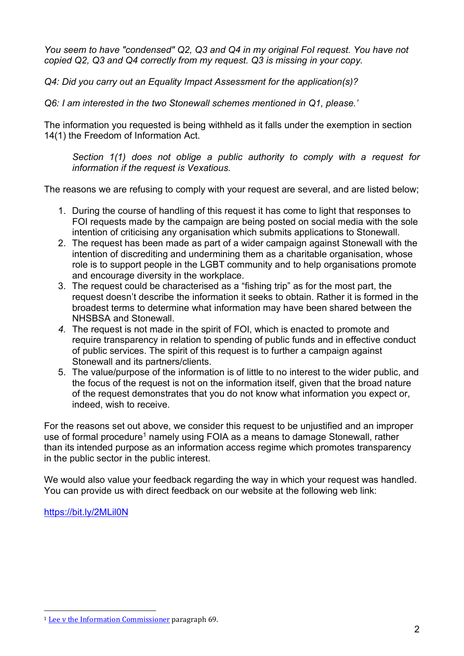You seem to have "condensed" Q2, Q3 and Q4 in my original FoI request. You have not copied Q2, Q3 and Q4 correctly from my request. Q3 is missing in your copy.

Q4: Did you carry out an Equality Impact Assessment for the application(s)?

Q6: I am interested in the two Stonewall schemes mentioned in Q1, please.'

The information you requested is being withheld as it falls under the exemption in section 14(1) the Freedom of Information Act.

Section 1(1) does not oblige a public authority to comply with a request for information if the request is Vexatious.

The reasons we are refusing to comply with your request are several, and are listed below;

- 1. During the course of handling of this request it has come to light that responses to FOI requests made by the campaign are being posted on social media with the sole intention of criticising any organisation which submits applications to Stonewall.
- 2. The request has been made as part of a wider campaign against Stonewall with the intention of discrediting and undermining them as a charitable organisation, whose role is to support people in the LGBT community and to help organisations promote and encourage diversity in the workplace.
- 3. The request could be characterised as a "fishing trip" as for the most part, the request doesn't describe the information it seeks to obtain. Rather it is formed in the broadest terms to determine what information may have been shared between the NHSBSA and Stonewall.
- 4. The request is not made in the spirit of FOI, which is enacted to promote and require transparency in relation to spending of public funds and in effective conduct of public services. The spirit of this request is to further a campaign against Stonewall and its partners/clients.
- 5. The value/purpose of the information is of little to no interest to the wider public, and the focus of the request is not on the information itself, given that the broad nature of the request demonstrates that you do not know what information you expect or, indeed, wish to receive.

For the reasons set out above, we consider this request to be unjustified and an improper use of formal procedure<sup>1</sup> namely using FOIA as a means to damage Stonewall, rather than its intended purpose as an information access regime which promotes transparency in the public sector in the public interest.

We would also value your feedback regarding the way in which your request was handled. You can provide us with direct feedback on our website at the following web link:

https://bit.ly/2MLil0N

<sup>1</sup> Lee v the Information Commissioner paragraph 69.